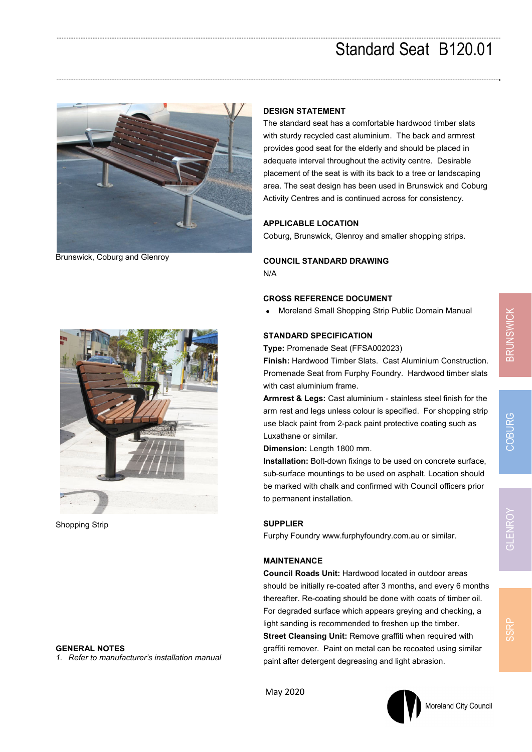

Brunswick, Coburg and Glenroy

## **DESIGN STATEMENT**

The standard seat has a comfortable hardwood timber slats with sturdy recycled cast aluminium. The back and armrest provides good seat for the elderly and should be placed in adequate interval throughout the activity centre. Desirable placement of the seat is with its back to a tree or landscaping area. The seat design has been used in Brunswick and Coburg Activity Centres and is continued across for consistency.

#### **APPLICABLE LOCATION**

Coburg, Brunswick, Glenroy and smaller shopping strips.

### **COUNCIL STANDARD DRAWING**

N/A

### **CROSS REFERENCE DOCUMENT**

Moreland Small Shopping Strip Public Domain Manual

### **STANDARD SPECIFICATION**

**Type:** Promenade Seat (FFSA002023)

**Finish:** Hardwood Timber Slats. Cast Aluminium Construction. Promenade Seat from Furphy Foundry. Hardwood timber slats with cast aluminium frame.

**Armrest & Legs:** Cast aluminium - stainless steel finish for the arm rest and legs unless colour is specified. For shopping strip use black paint from 2-pack paint protective coating such as Luxathane or similar.

**Dimension:** Length 1800 mm.

**Installation:** Bolt-down fixings to be used on concrete surface, sub-surface mountings to be used on asphalt. Location should be marked with chalk and confirmed with Council officers prior to permanent installation.

### **SUPPLIER**

Furphy Foundry www.furphyfoundry.com.au or similar.

## **MAINTENANCE**

**Council Roads Unit:** Hardwood located in outdoor areas should be initially re-coated after 3 months, and every 6 months thereafter. Re-coating should be done with coats of timber oil. For degraded surface which appears greying and checking, a light sanding is recommended to freshen up the timber. **Street Cleansing Unit:** Remove graffiti when required with graffiti remover. Paint on metal can be recoated using similar paint after detergent degreasing and light abrasion.



Shopping Strip

#### **GENERAL NOTES**

*1. Refer to manufacturer's installation manual* 





**SSRI**